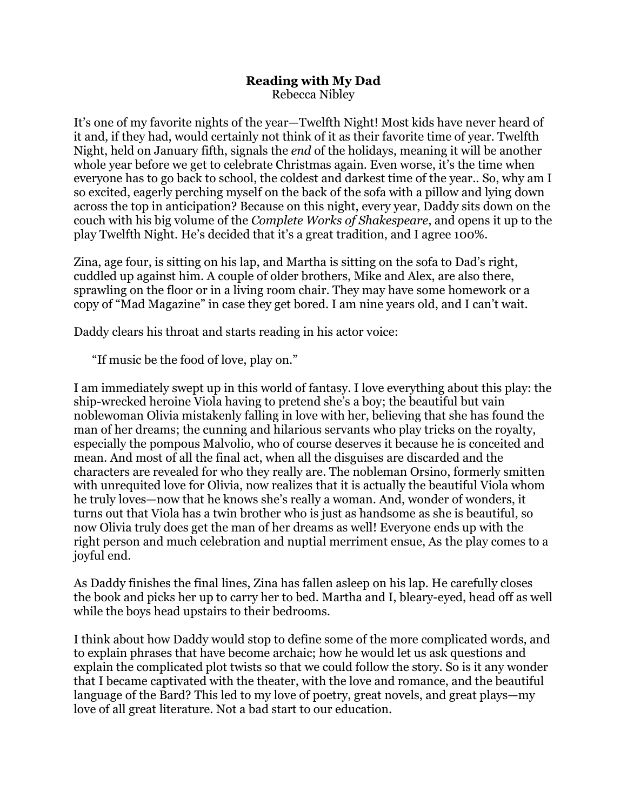## **Reading with My Dad** Rebecca Nibley

It's one of my favorite nights of the year—Twelfth Night! Most kids have never heard of it and, if they had, would certainly not think of it as their favorite time of year. Twelfth Night, held on January fifth, signals the *end* of the holidays, meaning it will be another whole year before we get to celebrate Christmas again. Even worse, it's the time when everyone has to go back to school, the coldest and darkest time of the year.. So, why am I so excited, eagerly perching myself on the back of the sofa with a pillow and lying down across the top in anticipation? Because on this night, every year, Daddy sits down on the couch with his big volume of the *Complete Works of Shakespeare*, and opens it up to the play Twelfth Night. He's decided that it's a great tradition, and I agree 100%.

Zina, age four, is sitting on his lap, and Martha is sitting on the sofa to Dad's right, cuddled up against him. A couple of older brothers, Mike and Alex, are also there, sprawling on the floor or in a living room chair. They may have some homework or a copy of "Mad Magazine" in case they get bored. I am nine years old, and I can't wait.

Daddy clears his throat and starts reading in his actor voice:

"If music be the food of love, play on."

I am immediately swept up in this world of fantasy. I love everything about this play: the ship-wrecked heroine Viola having to pretend she's a boy; the beautiful but vain noblewoman Olivia mistakenly falling in love with her, believing that she has found the man of her dreams; the cunning and hilarious servants who play tricks on the royalty, especially the pompous Malvolio, who of course deserves it because he is conceited and mean. And most of all the final act, when all the disguises are discarded and the characters are revealed for who they really are. The nobleman Orsino, formerly smitten with unrequited love for Olivia, now realizes that it is actually the beautiful Viola whom he truly loves—now that he knows she's really a woman. And, wonder of wonders, it turns out that Viola has a twin brother who is just as handsome as she is beautiful, so now Olivia truly does get the man of her dreams as well! Everyone ends up with the right person and much celebration and nuptial merriment ensue, As the play comes to a joyful end.

As Daddy finishes the final lines, Zina has fallen asleep on his lap. He carefully closes the book and picks her up to carry her to bed. Martha and I, bleary-eyed, head off as well while the boys head upstairs to their bedrooms.

I think about how Daddy would stop to define some of the more complicated words, and to explain phrases that have become archaic; how he would let us ask questions and explain the complicated plot twists so that we could follow the story. So is it any wonder that I became captivated with the theater, with the love and romance, and the beautiful language of the Bard? This led to my love of poetry, great novels, and great plays—my love of all great literature. Not a bad start to our education.